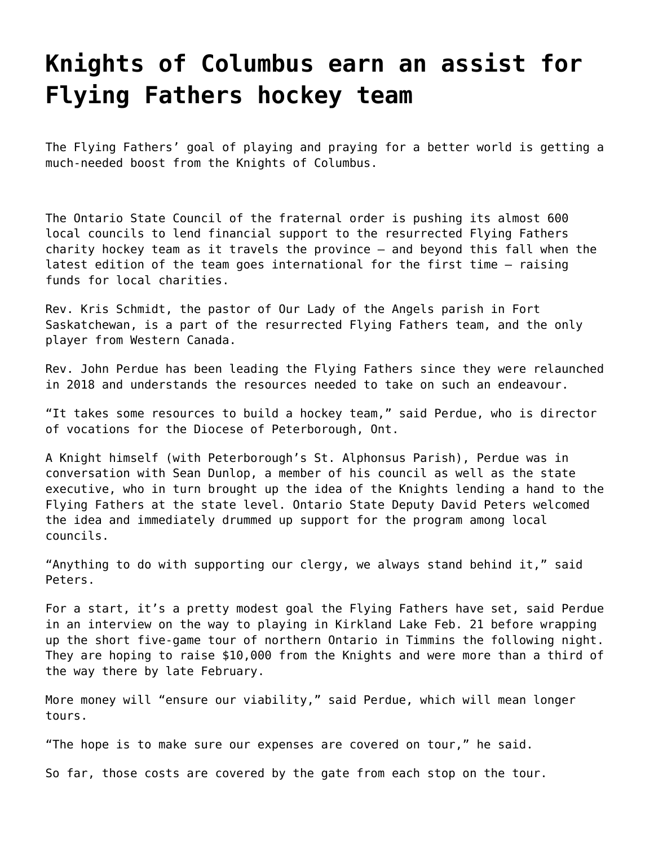## **[Knights of Columbus earn an assist for](https://grandinmedia.ca/knights-of-columbus-earn-an-assist-for-flying-fathers-hockey-team/) [Flying Fathers hockey team](https://grandinmedia.ca/knights-of-columbus-earn-an-assist-for-flying-fathers-hockey-team/)**

The Flying Fathers' goal of playing and praying for a better world is getting a much-needed boost from the Knights of Columbus.

The Ontario State Council of the fraternal order is pushing its almost 600 local councils to lend financial support to the resurrected Flying Fathers charity hockey team as it travels the province — and beyond this fall when the latest edition of the team goes international for the first time — raising funds for local charities.

Rev. Kris Schmidt, the pastor of Our Lady of the Angels parish in Fort Saskatchewan, is a part of the [resurrected Flying Fathers team, and the only](https://grandinmedia.ca/next-generation-flying-fathers-hits-ice-mission/) [player from Western Canada.](https://grandinmedia.ca/next-generation-flying-fathers-hits-ice-mission/)

Rev. John Perdue has been leading the [Flying Fathers](https://www.facebook.com/pg/flyingfathershockeyclub/posts/) since they were relaunched in 2018 and understands the resources needed to take on such an endeavour.

"It takes some resources to build a hockey team," said Perdue, who is director of vocations for the Diocese of Peterborough, Ont.

A Knight himself (with Peterborough's St. Alphonsus Parish), Perdue was in conversation with Sean Dunlop, a member of his council as well as the state executive, who in turn brought up the idea of the Knights lending a hand to the Flying Fathers at the state level. Ontario State Deputy David Peters welcomed the idea and immediately drummed up support for the program among local councils.

"Anything to do with supporting our clergy, we always stand behind it," said Peters.

For a start, it's a pretty modest goal the Flying Fathers have set, said Perdue in an interview on the way to playing in Kirkland Lake Feb. 21 before wrapping up the short five-game tour of northern Ontario in Timmins the following night. They are hoping to raise \$10,000 from the Knights and were more than a third of the way there by late February.

More money will "ensure our viability," said Perdue, which will mean longer tours.

"The hope is to make sure our expenses are covered on tour," he said.

So far, those costs are covered by the gate from each stop on the tour.